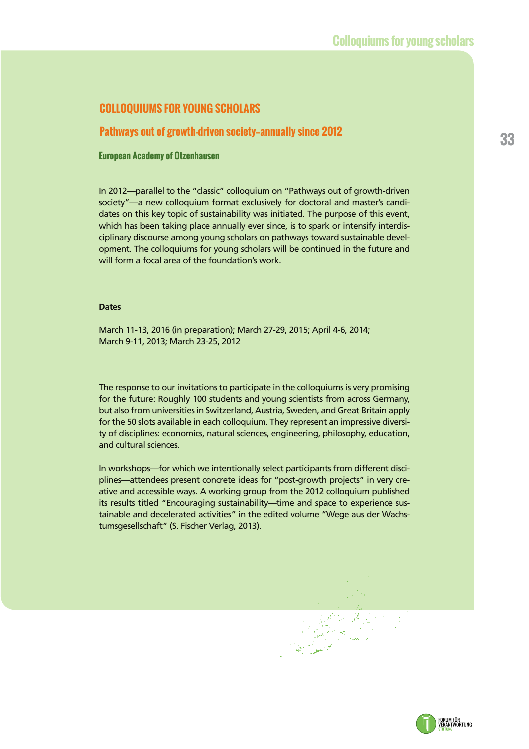## **COLLOQUIUMS FOR YOUNG SCHOLARS**

# **<sup>33</sup> Pathways out of growth-driven society—annually since 2012**

#### **European Academy of Otzenhausen**

In 2012—parallel to the "classic" colloquium on "Pathways out of growth-driven society"—a new colloquium format exclusively for doctoral and master's candidates on this key topic of sustainability was initiated. The purpose of this event, which has been taking place annually ever since, is to spark or intensify interdisciplinary discourse among young scholars on pathways toward sustainable development. The colloquiums for young scholars will be continued in the future and will form a focal area of the foundation's work.

#### **Dates**

March 11-13, 2016 (in preparation); March 27-29, 2015; April 4-6, 2014; March 9-11, 2013; March 23-25, 2012

The response to our invitations to participate in the colloquiums is very promising for the future: Roughly 100 students and young scientists from across Germany, but also from universities in Switzerland, Austria, Sweden, and Great Britain apply for the 50 slots available in each colloquium. They represent an impressive diversity of disciplines: economics, natural sciences, engineering, philosophy, education, and cultural sciences.

In workshops—for which we intentionally select participants from different disciplines—attendees present concrete ideas for "post-growth projects" in very creative and accessible ways. A working group from the 2012 colloquium published its results titled "Encouraging sustainability—time and space to experience sustainable and decelerated activities" in the edited volume "Wege aus der Wachstumsgesellschaft" (S. Fischer Verlag, 2013).

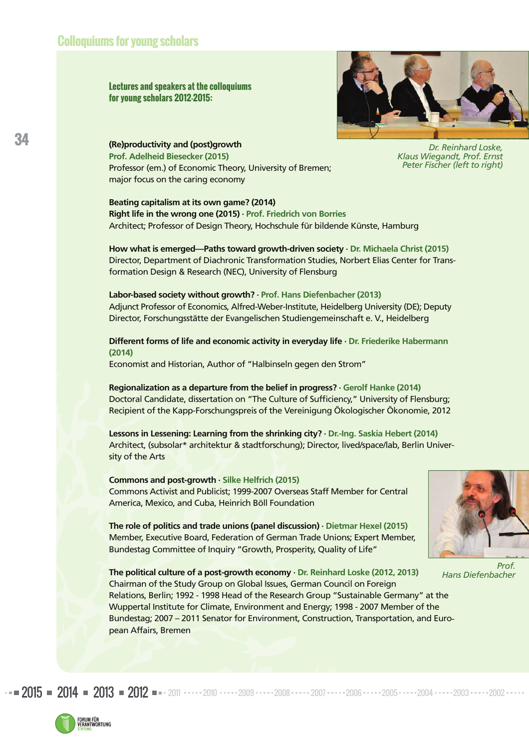**Lectures and speakers at the colloquiums for young scholars 2012-2015:** 



*Dr. Reinhard Loske, Klaus Wiegandt, Prof. Ernst Peter Fischer (left to right)* 

**(Re)productivity and (post)growth Prof. Adelheid Biesecker (2015)**  Professor (em.) of Economic Theory, University of Bremen; major focus on the caring economy

**Beating capitalism at its own game? (2014) Right life in the wrong one (2015) · Prof. Friedrich von Borries**  Architect; Professor of Design Theory, Hochschule für bildende Künste, Hamburg

**How what is emerged—Paths toward growth-driven society · Dr. Michaela Christ (2015)**  Director, Department of Diachronic Transformation Studies, Norbert Elias Center for Transformation Design & Research (NEC), University of Flensburg

**Labor-based society without growth? · Prof. Hans Diefenbacher (2013)** Adjunct Professor of Economics, Alfred-Weber-Institute, Heidelberg University (DE); Deputy Director, Forschungsstätte der Evangelischen Studiengemeinschaft e. V., Heidelberg

**Different forms of life and economic activity in everyday life · Dr. Friederike Habermann (2014)**

Economist and Historian, Author of "Halbinseln gegen den Strom"

**Regionalization as a departure from the belief in progress? · Gerolf Hanke (2014)**  Doctoral Candidate, dissertation on "The Culture of Sufficiency," University of Flensburg; Recipient of the Kapp-Forschungspreis of the Vereinigung Ökologischer Ökonomie, 2012

**Lessons in Lessening: Learning from the shrinking city? · Dr.-Ing. Saskia Hebert (2014)**  Architect, (subsolar\* architektur & stadtforschung); Director, lived/space/lab, Berlin University of the Arts

**Commons and post-growth · Silke Helfrich (2015)**  Commons Activist and Publicist; 1999-2007 Overseas Staff Member for Central America, Mexico, and Cuba, Heinrich Böll Foundation

**The role of politics and trade unions (panel discussion) · Dietmar Hexel (2015)**  Member, Executive Board, Federation of German Trade Unions; Expert Member, Bundestag Committee of Inquiry "Growth, Prosperity, Quality of Life"

2015 = 2014 = 2013 = 2012 == 2011 ·····2010 ·····2009 ·····2008 ·····2007 ·····2006 ·····2005 ·····2004 ·····2003 ·····2002



*Prof. Hans Diefenbacher*

**The political culture of a post-growth economy · Dr. Reinhard Loske (2012, 2013)**  Chairman of the Study Group on Global Issues, German Council on Foreign Relations, Berlin; 1992 - 1998 Head of the Research Group "Sustainable Germany" at the Wuppertal Institute for Climate, Environment and Energy; 1998 - 2007 Member of the Bundestag; 2007 – 2011 Senator for Environment, Construction, Transportation, and European Affairs, Bremen

FORUM FÜR<br>VERANTWORTUNG